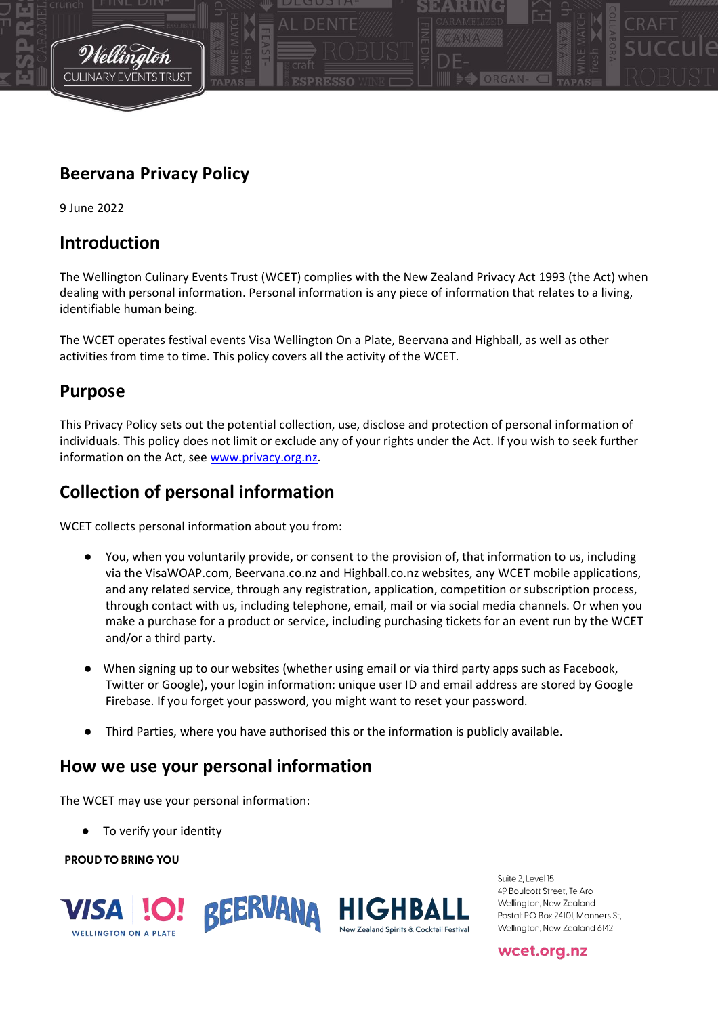# **Beervana Privacy Policy**

9 June 2022

#### **Introduction**

The Wellington Culinary Events Trust (WCET) complies with the New Zealand Privacy Act 1993 (the Act) when dealing with personal information. Personal information is any piece of information that relates to a living, identifiable human being.

The WCET operates festival events Visa Wellington On a Plate, Beervana and Highball, as well as other activities from time to time. This policy covers all the activity of the WCET.

#### **Purpose**

This Privacy Policy sets out the potential collection, use, disclose and protection of personal information of individuals. This policy does not limit or exclude any of your rights under the Act. If you wish to seek further information on the Act, see [www.privacy.org.nz.](http://www.privacy.org.nz/)

## **Collection of personal information**

WCET collects personal information about you from:

- You, when you voluntarily provide, or consent to the provision of, that information to us, including via the VisaWOAP.com, Beervana.co.nz and Highball.co.nz websites, any WCET mobile applications, and any related service, through any registration, application, competition or subscription process, through contact with us, including telephone, email, mail or via social media channels. Or when you make a purchase for a product or service, including purchasing tickets for an event run by the WCET and/or a third party.
- When signing up to our websites (whether using email or via third party apps such as Facebook, Twitter or Google), your login information: unique user ID and email address are stored by Google Firebase. If you forget your password, you might want to reset your password.
- Third Parties, where you have authorised this or the information is publicly available.

#### **How we use your personal information**

The WCET may use your personal information:

● To verify your identity

#### **PROUD TO BRING YOU**





Suite 2. Level 15 49 Boulcott Street, Te Aro Wellington, New Zealand Postal: PO Box 24101. Manners St. Wellington, New Zealand 6142

wcet.org.nz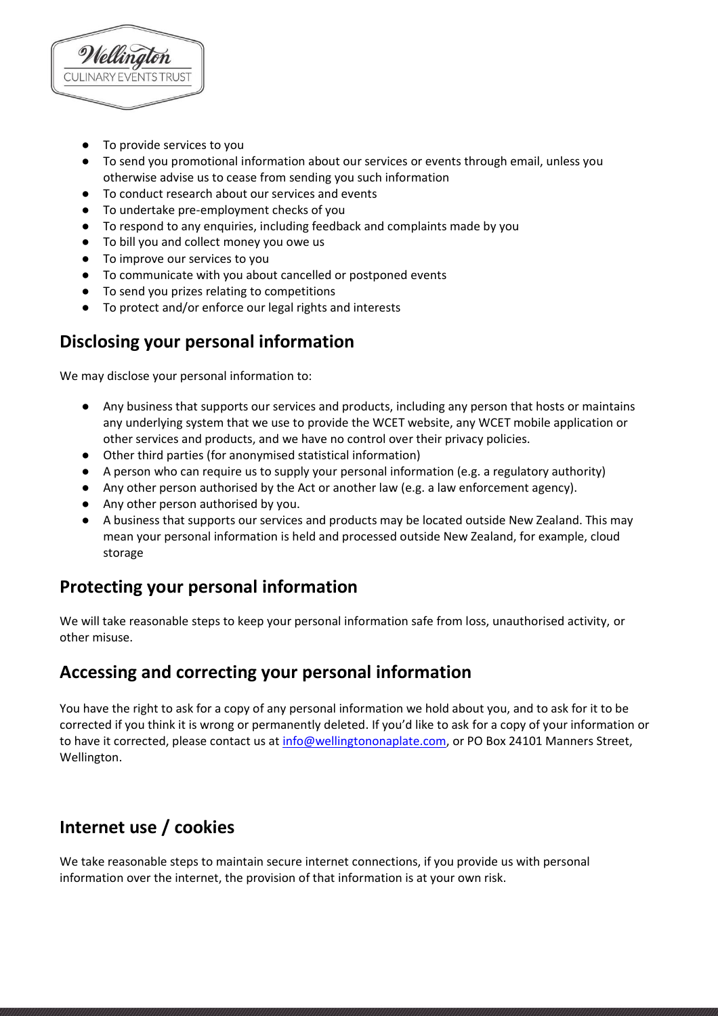

- To provide services to you
- To send you promotional information about our services or events through email, unless you otherwise advise us to cease from sending you such information
- To conduct research about our services and events
- To undertake pre-employment checks of you
- To respond to any enquiries, including feedback and complaints made by you
- To bill you and collect money you owe us
- To improve our services to you
- To communicate with you about cancelled or postponed events
- To send you prizes relating to competitions
- To protect and/or enforce our legal rights and interests

## **Disclosing your personal information**

We may disclose your personal information to:

- Any business that supports our services and products, including any person that hosts or maintains any underlying system that we use to provide the WCET website, any WCET mobile application or other services and products, and we have no control over their privacy policies.
- Other third parties (for anonymised statistical information)
- A person who can require us to supply your personal information (e.g. a regulatory authority)
- Any other person authorised by the Act or another law (e.g. a law enforcement agency).
- Any other person authorised by you.
- A business that supports our services and products may be located outside New Zealand. This may mean your personal information is held and processed outside New Zealand, for example, cloud storage

## **Protecting your personal information**

We will take reasonable steps to keep your personal information safe from loss, unauthorised activity, or other misuse.

## **Accessing and correcting your personal information**

You have the right to ask for a copy of any personal information we hold about you, and to ask for it to be corrected if you think it is wrong or permanently deleted. If you'd like to ask for a copy of your information or to have it corrected, please contact us at [info@wellingtononaplate.com,](mailto:info@wellingtononaplate.com) or PO Box 24101 Manners Street, Wellington.

# **Internet use / cookies**

We take reasonable steps to maintain secure internet connections, if you provide us with personal information over the internet, the provision of that information is at your own risk.